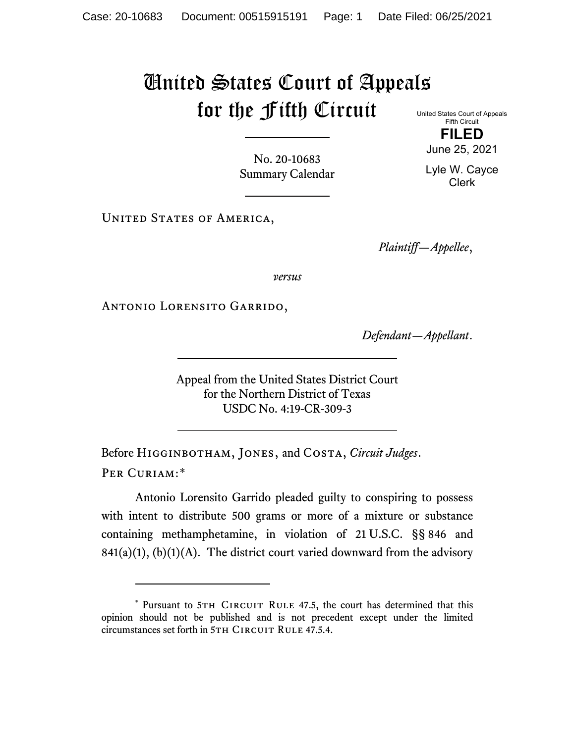## United States Court of Appeals for the Fifth Circuit United States Court of Appeals

Fifth Circuit

No. 20-10683 Summary Calendar

UNITED STATES OF AMERICA,

*Plaintiff—Appellee*,

*versus*

Antonio Lorensito Garrido,

*Defendant—Appellant*.

Appeal from the United States District Court for the Northern District of Texas USDC No. 4:19-CR-309-3

Before Higginbotham, Jones, and Costa, *Circuit Judges*. Per Curiam:[\\*](#page-0-0)

Antonio Lorensito Garrido pleaded guilty to conspiring to possess with intent to distribute 500 grams or more of a mixture or substance containing methamphetamine, in violation of 21 U.S.C. §§ 846 and  $841(a)(1)$ ,  $(b)(1)(A)$ . The district court varied downward from the advisory

**FILED** June 25, 2021

Lyle W. Cayce Clerk

<span id="page-0-0"></span><sup>\*</sup> Pursuant to 5TH CIRCUIT RULE 47.5, the court has determined that this opinion should not be published and is not precedent except under the limited circumstances set forth in 5TH CIRCUIT RULE 47.5.4.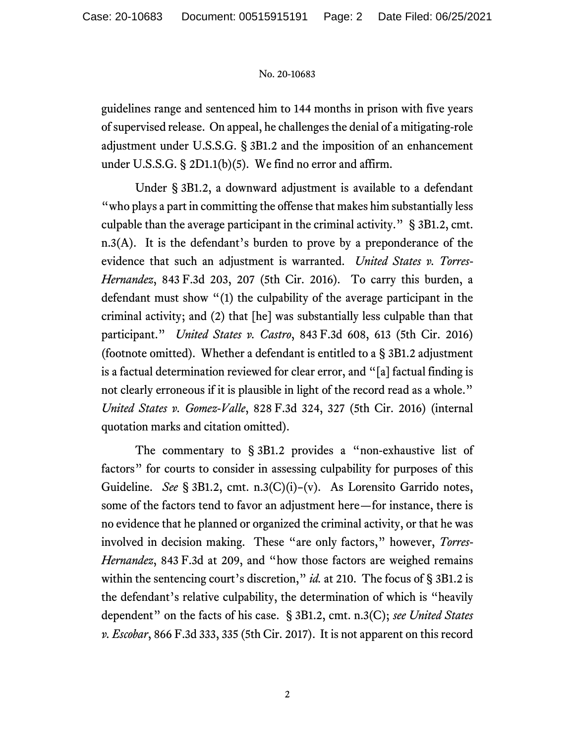## No. 20-10683

guidelines range and sentenced him to 144 months in prison with five years of supervised release. On appeal, he challenges the denial of a mitigating-role adjustment under U.S.S.G. § 3B1.2 and the imposition of an enhancement under U.S.S.G. § 2D1.1(b)(5). We find no error and affirm.

Under § 3B1.2, a downward adjustment is available to a defendant "who plays a part in committing the offense that makes him substantially less culpable than the average participant in the criminal activity." § 3B1.2, cmt. n.3(A). It is the defendant's burden to prove by a preponderance of the evidence that such an adjustment is warranted. *United States v. Torres-Hernandez*, 843 F.3d 203, 207 (5th Cir. 2016). To carry this burden, a defendant must show "(1) the culpability of the average participant in the criminal activity; and (2) that [he] was substantially less culpable than that participant." *United States v. Castro*, 843 F.3d 608, 613 (5th Cir. 2016) (footnote omitted). Whether a defendant is entitled to a § 3B1.2 adjustment is a factual determination reviewed for clear error, and "[a] factual finding is not clearly erroneous if it is plausible in light of the record read as a whole." *United States v. Gomez-Valle*, 828 F.3d 324, 327 (5th Cir. 2016) (internal quotation marks and citation omitted).

The commentary to § 3B1.2 provides a "non-exhaustive list of factors" for courts to consider in assessing culpability for purposes of this Guideline. *See* § 3B1.2, cmt. n.3(C)(i)–(v). As Lorensito Garrido notes, some of the factors tend to favor an adjustment here—for instance, there is no evidence that he planned or organized the criminal activity, or that he was involved in decision making. These "are only factors," however, *Torres-Hernandez*, 843 F.3d at 209, and "how those factors are weighed remains within the sentencing court's discretion," *id.* at 210. The focus of § 3B1.2 is the defendant's relative culpability, the determination of which is "heavily dependent" on the facts of his case. § 3B1.2, cmt. n.3(C); *see United States v. Escobar*, 866 F.3d 333, 335 (5th Cir. 2017). It is not apparent on this record